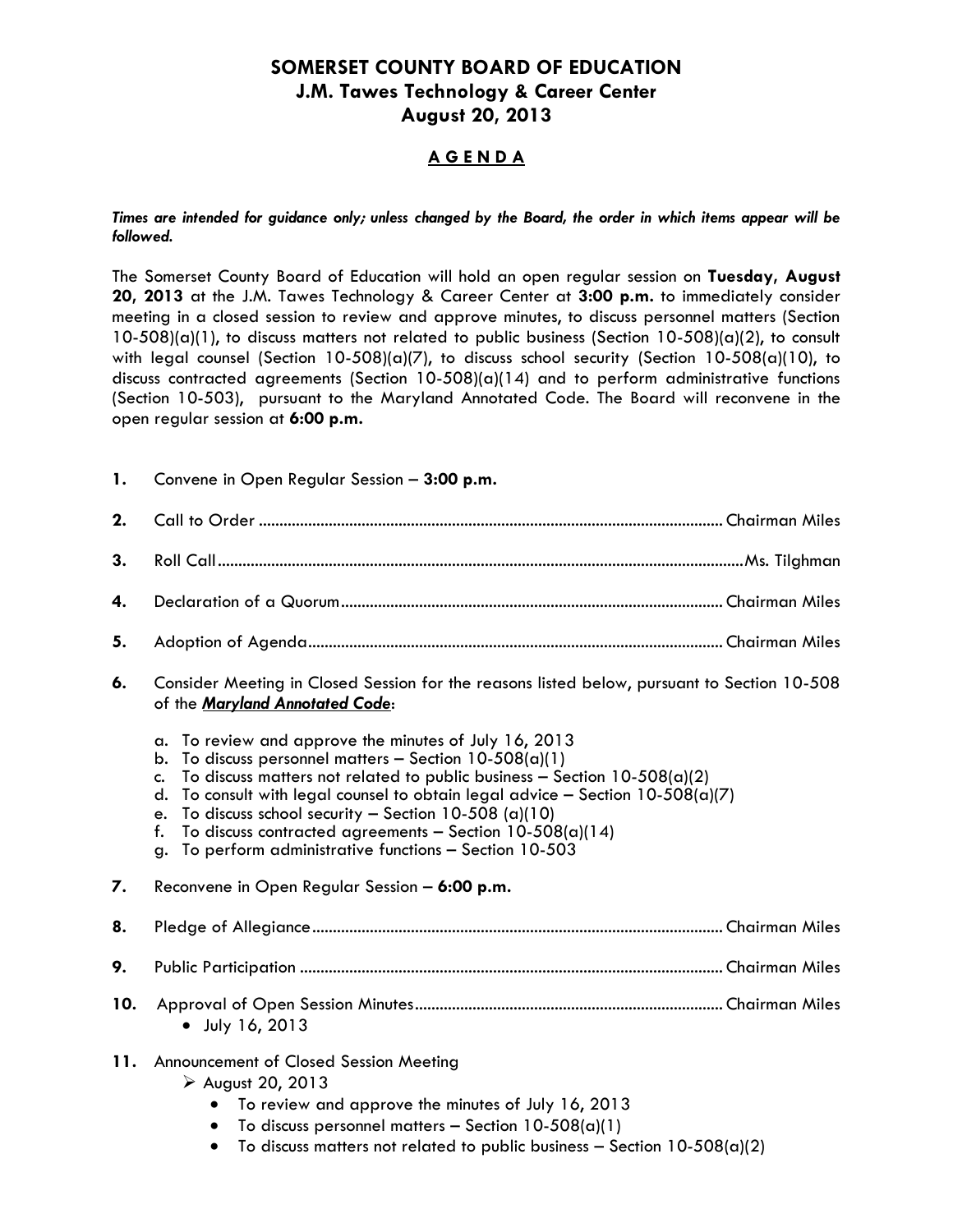# **SOMERSET COUNTY BOARD OF EDUCATION J.M. Tawes Technology & Career Center August 20, 2013**

# **A G E N D A**

*Times are intended for guidance only; unless changed by the Board, the order in which items appear will be followed.*

The Somerset County Board of Education will hold an open regular session on **Tuesday, August 20, 2013** at the J.M. Tawes Technology & Career Center at **3:00 p.m.** to immediately consider meeting in a closed session to review and approve minutes, to discuss personnel matters (Section  $10-508$ )(a)(1), to discuss matters not related to public business (Section 10-508)(a)(2), to consult with legal counsel (Section 10-508)(a)(7), to discuss school security (Section 10-508(a)(10), to discuss contracted agreements (Section 10-508)(a)(14) and to perform administrative functions (Section 10-503), pursuant to the Maryland Annotated Code. The Board will reconvene in the open regular session at **6:00 p.m.**

**1.** Convene in Open Regular Session – **3:00 p.m. 2.** Call to Order ................................................................................................................. Chairman Miles **3.** Roll Call................................................................................................................................Ms. Tilghman **4.** Declaration of a Quorum............................................................................................. Chairman Miles **5.** Adoption of Agenda..................................................................................................... Chairman Miles **6.** Consider Meeting in Closed Session for the reasons listed below, pursuant to Section 10-508 of the *Maryland Annotated Code*: a. To review and approve the minutes of July 16, 2013 b. To discuss personnel matters  $-$  Section 10-508(a)(1) c. To discuss matters not related to public business  $-$  Section 10-508(a)(2) d. To consult with legal counsel to obtain legal advice  $-$  Section 10-508(a)(7) e. To discuss school security – Section 10-508 (a)(10) f. To discuss contracted agreements – Section  $10-508(a)(14)$ g. To perform administrative functions – Section 10-503 **7.** Reconvene in Open Regular Session – **6:00 p.m. 8.** Pledge of Allegiance.................................................................................................... Chairman Miles **9.** Public Participation ....................................................................................................... Chairman Miles **10.** Approval of Open Session Minutes........................................................................... Chairman Miles July 16, 2013 **11.** Announcement of Closed Session Meeting  $\triangleright$  August 20, 2013 To review and approve the minutes of July 16, 2013  $\bullet$  To discuss personnel matters – Section 10-508(a)(1)  $\bullet$  To discuss matters not related to public business – Section 10-508(a)(2)